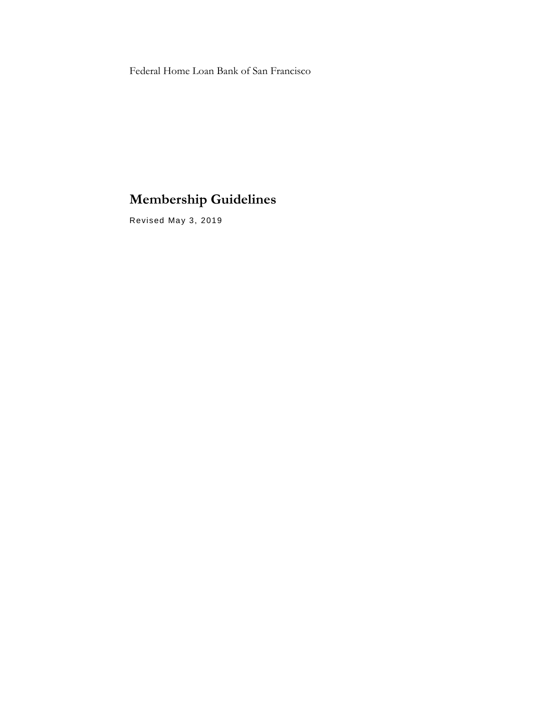Federal Home Loan Bank of San Francisco

# **Membership Guidelines**

Revised May 3, 2019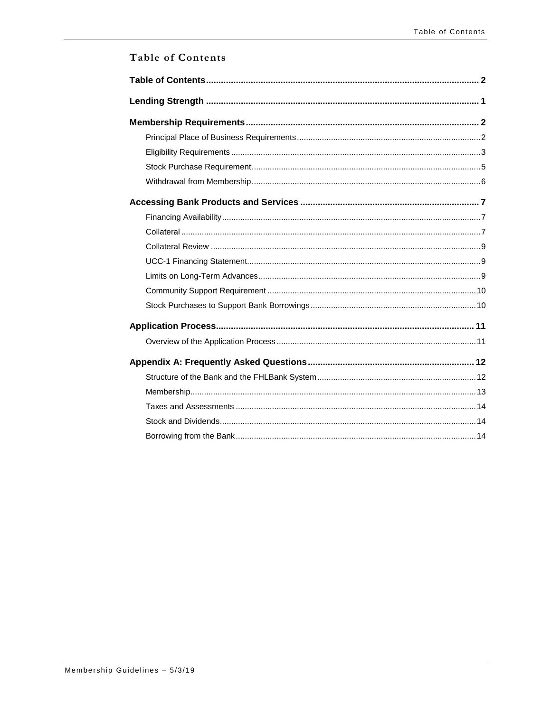<span id="page-1-0"></span>

| <b>Table of Contents</b> |  |
|--------------------------|--|
|                          |  |
|                          |  |
|                          |  |
|                          |  |
|                          |  |
|                          |  |
|                          |  |
|                          |  |
|                          |  |
|                          |  |
|                          |  |
|                          |  |
|                          |  |
|                          |  |
|                          |  |
|                          |  |
|                          |  |
|                          |  |
|                          |  |
|                          |  |
|                          |  |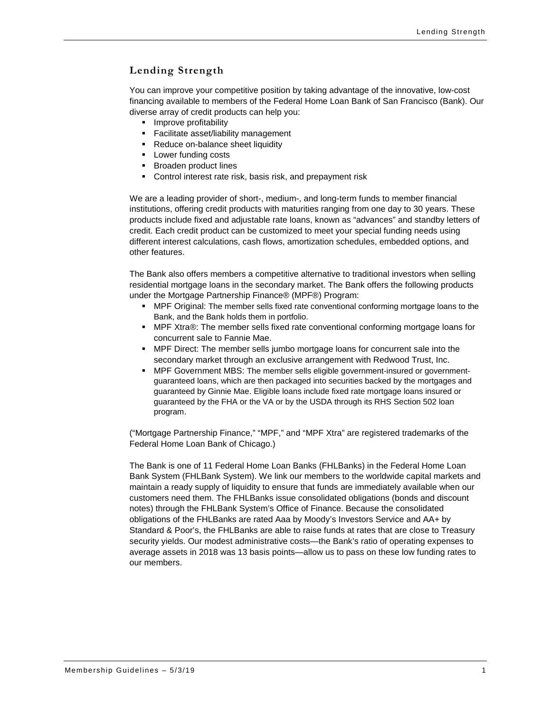# <span id="page-2-0"></span>**Lending Strength**

You can improve your competitive position by taking advantage of the innovative, low-cost financing available to members of the Federal Home Loan Bank of San Francisco (Bank). Our diverse array of credit products can help you:

- **Improve profitability**
- **Facilitate asset/liability management**
- Reduce on-balance sheet liquidity
- **Lower funding costs**
- **Broaden product lines**
- Control interest rate risk, basis risk, and prepayment risk

We are a leading provider of short-, medium-, and long-term funds to member financial institutions, offering credit products with maturities ranging from one day to 30 years. These products include fixed and adjustable rate loans, known as "advances" and standby letters of credit. Each credit product can be customized to meet your special funding needs using different interest calculations, cash flows, amortization schedules, embedded options, and other features.

The Bank also offers members a competitive alternative to traditional investors when selling residential mortgage loans in the secondary market. The Bank offers the following products under the Mortgage Partnership Finance® (MPF®) Program:

- MPF Original: The member sells fixed rate conventional conforming mortgage loans to the Bank, and the Bank holds them in portfolio.
- MPF Xtra®: The member sells fixed rate conventional conforming mortgage loans for concurrent sale to Fannie Mae.
- [MPF Direct:](https://www.fhlbmpf.com/Shared%20Documents/FHLBNational%20MPF%20Direct%20Term%20SheetD2%20070915%20FINAL.pdf) The member sells jumbo mortgage loans for concurrent sale into the secondary market through an exclusive arrangement with Redwood Trust, Inc.
- MPF Government MBS: The member sells eligible government-insured or governmentguaranteed loans, which are then packaged into securities backed by the mortgages and guaranteed by Ginnie Mae. Eligible loans include fixed rate mortgage loans insured or guaranteed by the FHA or the VA or by the USDA through its RHS Section 502 loan program.

("Mortgage Partnership Finance," "MPF," and "MPF Xtra" are registered trademarks of the Federal Home Loan Bank of Chicago.)

The Bank is one of 11 Federal Home Loan Banks (FHLBanks) in the Federal Home Loan Bank System (FHLBank System). We link our members to the worldwide capital markets and maintain a ready supply of liquidity to ensure that funds are immediately available when our customers need them. The FHLBanks issue consolidated obligations (bonds and discount notes) through the FHLBank System's Office of Finance. Because the consolidated obligations of the FHLBanks are rated Aaa by Moody's Investors Service and AA+ by Standard & Poor's, the FHLBanks are able to raise funds at rates that are close to Treasury security yields. Our modest administrative costs—the Bank's ratio of operating expenses to average assets in 2018 was 13 basis points—allow us to pass on these low funding rates to our members.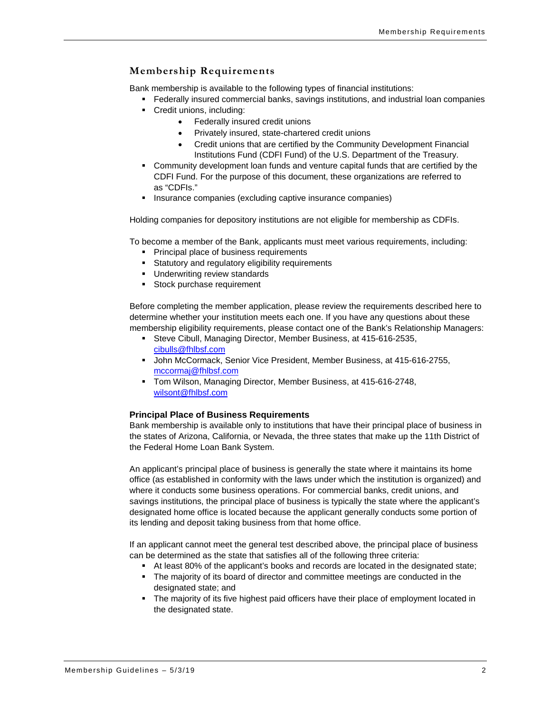# <span id="page-3-0"></span>**Membership Requirements**

Bank membership is available to the following types of financial institutions:

- **Federally insured commercial banks, savings institutions, and industrial loan companies** 
	- Credit unions, including:
		- Federally insured credit unions
		- Privately insured, state-chartered credit unions
		- Credit unions that are certified by the Community Development Financial Institutions Fund (CDFI Fund) of the U.S. Department of the Treasury.
- Community development loan funds and venture capital funds that are certified by the CDFI Fund. For the purpose of this document, these organizations are referred to as "CDFIs."
- **Insurance companies (excluding captive insurance companies)**

Holding companies for depository institutions are not eligible for membership as CDFIs.

To become a member of the Bank, applicants must meet various requirements, including:

- **Principal place of business requirements**
- **Statutory and regulatory eligibility requirements**
- **Underwriting review standards**
- **Stock purchase requirement**

Before completing the member application, please review the requirements described here to determine whether your institution meets each one. If you have any questions about these membership eligibility requirements, please contact one of the Bank's Relationship Managers:

- Steve Cibull, Managing Director, Member Business, at 415-616-2535, [cibulls@fhlbsf.com](mailto:cibulls@fhlbsf.com)
- **John McCormack, Senior Vice President, Member Business, at 415-616-2755,** [mccormaj@fhlbsf.com](mailto:mccormaj@fhlbsf.com)
- Tom Wilson, Managing Director, Member Business, at 415-616-2748, [wilsont@fhlbsf.com](mailto:wilsont@fhlbsf.com)

# <span id="page-3-1"></span>**Principal Place of Business Requirements**

Bank membership is available only to institutions that have their principal place of business in the states of Arizona, California, or Nevada, the three states that make up the 11th District of the Federal Home Loan Bank System.

An applicant's principal place of business is generally the state where it maintains its home office (as established in conformity with the laws under which the institution is organized) and where it conducts some business operations. For commercial banks, credit unions, and savings institutions, the principal place of business is typically the state where the applicant's designated home office is located because the applicant generally conducts some portion of its lending and deposit taking business from that home office.

If an applicant cannot meet the general test described above, the principal place of business can be determined as the state that satisfies all of the following three criteria:

- At least 80% of the applicant's books and records are located in the designated state;
- The majority of its board of director and committee meetings are conducted in the designated state; and
- The majority of its five highest paid officers have their place of employment located in the designated state.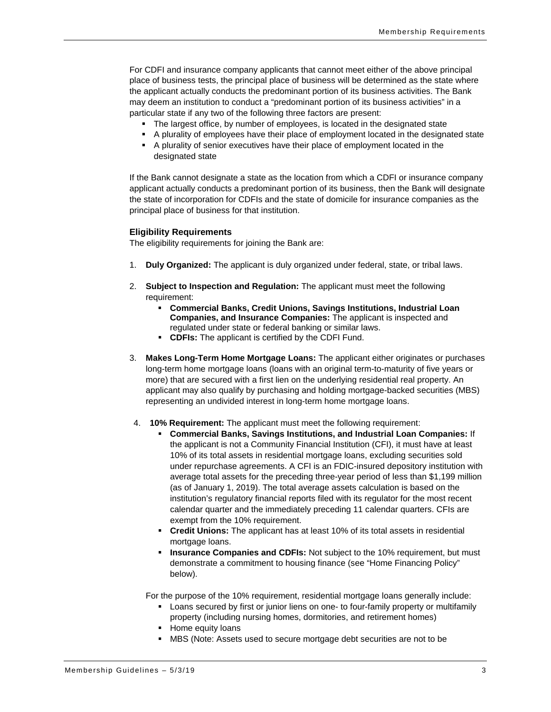For CDFI and insurance company applicants that cannot meet either of the above principal place of business tests, the principal place of business will be determined as the state where the applicant actually conducts the predominant portion of its business activities. The Bank may deem an institution to conduct a "predominant portion of its business activities" in a particular state if any two of the following three factors are present:

- The largest office, by number of employees, is located in the designated state
- A plurality of employees have their place of employment located in the designated state
- A plurality of senior executives have their place of employment located in the designated state

If the Bank cannot designate a state as the location from which a CDFI or insurance company applicant actually conducts a predominant portion of its business, then the Bank will designate the state of incorporation for CDFIs and the state of domicile for insurance companies as the principal place of business for that institution.

# <span id="page-4-0"></span>**Eligibility Requirements**

The eligibility requirements for joining the Bank are:

- 1. **Duly Organized:** The applicant is duly organized under federal, state, or tribal laws.
- 2. **Subject to Inspection and Regulation:** The applicant must meet the following requirement:
	- **Commercial Banks, Credit Unions, Savings Institutions, Industrial Loan Companies, and Insurance Companies:** The applicant is inspected and regulated under state or federal banking or similar laws.
	- **CDFIs:** The applicant is certified by the CDFI Fund.
- 3. **Makes Long-Term Home Mortgage Loans:** The applicant either originates or purchases long-term home mortgage loans (loans with an original term-to-maturity of five years or more) that are secured with a first lien on the underlying residential real property. An applicant may also qualify by purchasing and holding mortgage-backed securities (MBS) representing an undivided interest in long-term home mortgage loans.
- 4. **10% Requirement:** The applicant must meet the following requirement:
	- **Commercial Banks, Savings Institutions, and Industrial Loan Companies:** If the applicant is not a Community Financial Institution (CFI), it must have at least 10% of its total assets in residential mortgage loans, excluding securities sold under repurchase agreements. A CFI is an FDIC-insured depository institution with average total assets for the preceding three-year period of less than \$1,199 million (as of January 1, 2019). The total average assets calculation is based on the institution's regulatory financial reports filed with its regulator for the most recent calendar quarter and the immediately preceding 11 calendar quarters. CFIs are exempt from the 10% requirement.
	- **Credit Unions:** The applicant has at least 10% of its total assets in residential mortgage loans.
	- **Insurance Companies and CDFIs:** Not subject to the 10% requirement, but must demonstrate a commitment to housing finance (see "Home Financing Policy" below).

For the purpose of the 10% requirement, residential mortgage loans generally include:

- **-** Loans secured by first or junior liens on one- to four-family property or multifamily property (including nursing homes, dormitories, and retirement homes)
- **Home equity loans**
- MBS (Note: Assets used to secure mortgage debt securities are not to be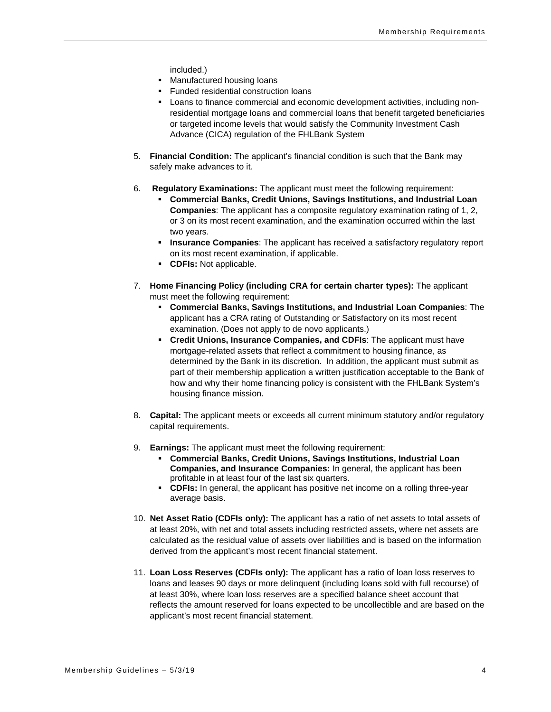included.)

- **Manufactured housing loans**
- **Funded residential construction loans**
- Loans to finance commercial and economic development activities, including nonresidential mortgage loans and commercial loans that benefit targeted beneficiaries or targeted income levels that would satisfy the Community Investment Cash Advance (CICA) regulation of the FHLBank System
- 5. **Financial Condition:** The applicant's financial condition is such that the Bank may safely make advances to it.
- 6. **Regulatory Examinations:** The applicant must meet the following requirement:
	- **Commercial Banks, Credit Unions, Savings Institutions, and Industrial Loan Companies**: The applicant has a composite regulatory examination rating of 1, 2, or 3 on its most recent examination, and the examination occurred within the last two years.
	- **Insurance Companies**: The applicant has received a satisfactory regulatory report on its most recent examination, if applicable.
	- **CDFIs:** Not applicable.
- 7. **Home Financing Policy (including CRA for certain charter types):** The applicant must meet the following requirement:
	- **Commercial Banks, Savings Institutions, and Industrial Loan Companies**: The applicant has a CRA rating of Outstanding or Satisfactory on its most recent examination. (Does not apply to de novo applicants.)
	- **Credit Unions, Insurance Companies, and CDFIs**: The applicant must have mortgage-related assets that reflect a commitment to housing finance, as determined by the Bank in its discretion. In addition, the applicant must submit as part of their membership application a written justification acceptable to the Bank of how and why their home financing policy is consistent with the FHLBank System's housing finance mission.
- 8. **Capital:** The applicant meets or exceeds all current minimum statutory and/or regulatory capital requirements.
- 9. **Earnings:** The applicant must meet the following requirement:
	- **Commercial Banks, Credit Unions, Savings Institutions, Industrial Loan Companies, and Insurance Companies:** In general, the applicant has been profitable in at least four of the last six quarters.
	- **CDFIs:** In general, the applicant has positive net income on a rolling three-year average basis.
- 10. **Net Asset Ratio (CDFIs only):** The applicant has a ratio of net assets to total assets of at least 20%, with net and total assets including restricted assets, where net assets are calculated as the residual value of assets over liabilities and is based on the information derived from the applicant's most recent financial statement.
- 11. **Loan Loss Reserves (CDFIs only):** The applicant has a ratio of loan loss reserves to loans and leases 90 days or more delinquent (including loans sold with full recourse) of at least 30%, where loan loss reserves are a specified balance sheet account that reflects the amount reserved for loans expected to be uncollectible and are based on the applicant's most recent financial statement.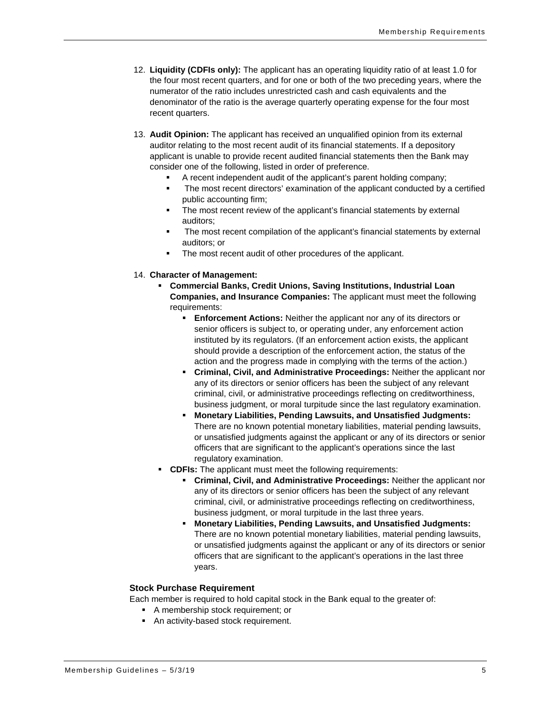- 12. **Liquidity (CDFIs only):** The applicant has an operating liquidity ratio of at least 1.0 for the four most recent quarters, and for one or both of the two preceding years, where the numerator of the ratio includes unrestricted cash and cash equivalents and the denominator of the ratio is the average quarterly operating expense for the four most recent quarters.
- 13. **Audit Opinion:** The applicant has received an unqualified opinion from its external auditor relating to the most recent audit of its financial statements. If a depository applicant is unable to provide recent audited financial statements then the Bank may consider one of the following, listed in order of preference.
	- A recent independent audit of the applicant's parent holding company;
	- The most recent directors' examination of the applicant conducted by a certified public accounting firm;
	- The most recent review of the applicant's financial statements by external auditors;
	- The most recent compilation of the applicant's financial statements by external auditors; or
	- The most recent audit of other procedures of the applicant.

### 14. **Character of Management:**

- **Commercial Banks, Credit Unions, Saving Institutions, Industrial Loan Companies, and Insurance Companies:** The applicant must meet the following requirements:
	- **Enforcement Actions:** Neither the applicant nor any of its directors or senior officers is subject to, or operating under, any enforcement action instituted by its regulators. (If an enforcement action exists, the applicant should provide a description of the enforcement action, the status of the action and the progress made in complying with the terms of the action.)
	- **Criminal, Civil, and Administrative Proceedings:** Neither the applicant nor any of its directors or senior officers has been the subject of any relevant criminal, civil, or administrative proceedings reflecting on creditworthiness, business judgment, or moral turpitude since the last regulatory examination.
	- **Monetary Liabilities, Pending Lawsuits, and Unsatisfied Judgments:** There are no known potential monetary liabilities, material pending lawsuits, or unsatisfied judgments against the applicant or any of its directors or senior officers that are significant to the applicant's operations since the last regulatory examination.
- **CDFIs:** The applicant must meet the following requirements:
	- **Criminal, Civil, and Administrative Proceedings:** Neither the applicant nor any of its directors or senior officers has been the subject of any relevant criminal, civil, or administrative proceedings reflecting on creditworthiness, business judgment, or moral turpitude in the last three years.
	- **Monetary Liabilities, Pending Lawsuits, and Unsatisfied Judgments:** There are no known potential monetary liabilities, material pending lawsuits, or unsatisfied judgments against the applicant or any of its directors or senior officers that are significant to the applicant's operations in the last three years.

### <span id="page-6-0"></span>**Stock Purchase Requirement**

Each member is required to hold capital stock in the Bank equal to the greater of:

- A membership stock requirement; or
- **An activity-based stock requirement.**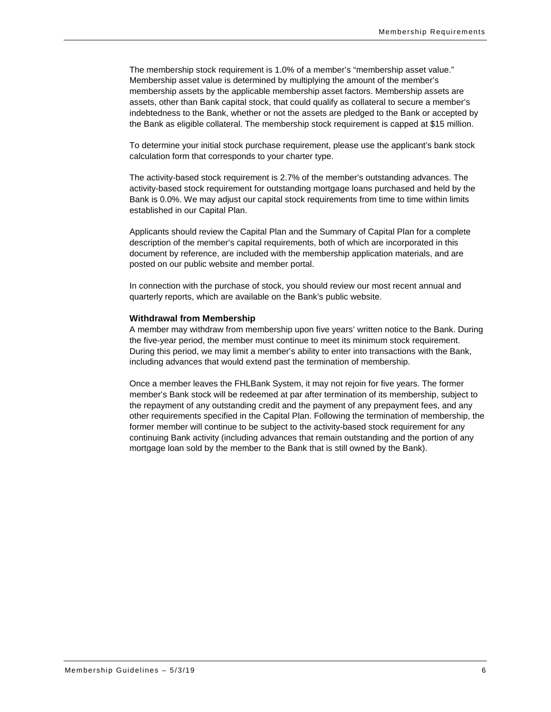The membership stock requirement is 1.0% of a member's "membership asset value." Membership asset value is determined by multiplying the amount of the member's membership assets by the applicable membership asset factors. Membership assets are assets, other than Bank capital stock, that could qualify as collateral to secure a member's indebtedness to the Bank, whether or not the assets are pledged to the Bank or accepted by the Bank as eligible collateral. The membership stock requirement is capped at \$15 million.

To determine your initial stock purchase requirement, please use the applicant's bank stock calculation form that corresponds to your charter type.

The activity-based stock requirement is 2.7% of the member's outstanding advances. The activity-based stock requirement for outstanding mortgage loans purchased and held by the Bank is 0.0%. We may adjust our capital stock requirements from time to time within limits established in our Capital Plan.

Applicants should review the Capital Plan and the Summary of Capital Plan for a complete description of the member's capital requirements, both of which are incorporated in this document by reference, are included with the membership application materials, and are posted on our public website and member portal.

In connection with the purchase of stock, you should review our most recent annual and quarterly reports, which are available on the Bank's public website.

#### <span id="page-7-0"></span>**Withdrawal from Membership**

A member may withdraw from membership upon five years' written notice to the Bank. During the five-year period, the member must continue to meet its minimum stock requirement. During this period, we may limit a member's ability to enter into transactions with the Bank, including advances that would extend past the termination of membership.

Once a member leaves the FHLBank System, it may not rejoin for five years. The former member's Bank stock will be redeemed at par after termination of its membership, subject to the repayment of any outstanding credit and the payment of any prepayment fees, and any other requirements specified in the Capital Plan. Following the termination of membership, the former member will continue to be subject to the activity-based stock requirement for any continuing Bank activity (including advances that remain outstanding and the portion of any mortgage loan sold by the member to the Bank that is still owned by the Bank).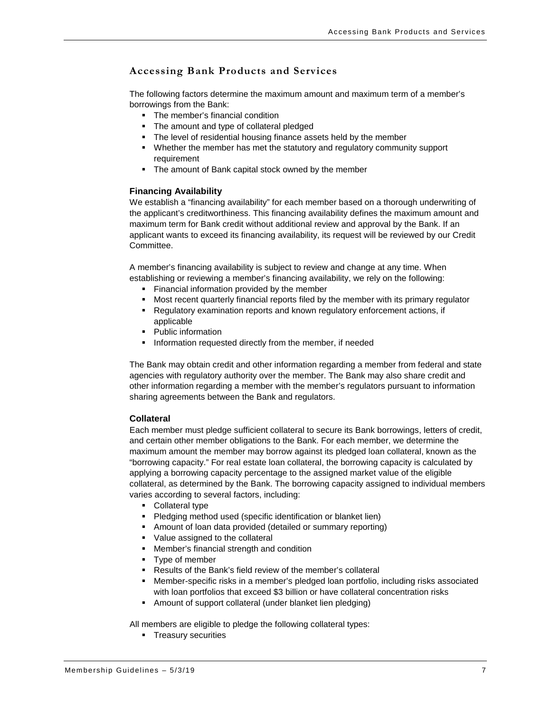# <span id="page-8-0"></span>**Accessing Bank Products and Services**

The following factors determine the maximum amount and maximum term of a member's borrowings from the Bank:

- The member's financial condition
- The amount and type of collateral pledged
- The level of residential housing finance assets held by the member
- Whether the member has met the statutory and regulatory community support requirement
- The amount of Bank capital stock owned by the member

### <span id="page-8-1"></span>**Financing Availability**

We establish a "financing availability" for each member based on a thorough underwriting of the applicant's creditworthiness. This financing availability defines the maximum amount and maximum term for Bank credit without additional review and approval by the Bank. If an applicant wants to exceed its financing availability, its request will be reviewed by our Credit Committee.

A member's financing availability is subject to review and change at any time. When establishing or reviewing a member's financing availability, we rely on the following:

- Financial information provided by the member
- **Most recent quarterly financial reports filed by the member with its primary regulator**
- Regulatory examination reports and known regulatory enforcement actions, if applicable
- **•** Public information
- **Information requested directly from the member, if needed**

The Bank may obtain credit and other information regarding a member from federal and state agencies with regulatory authority over the member. The Bank may also share credit and other information regarding a member with the member's regulators pursuant to information sharing agreements between the Bank and regulators.

### <span id="page-8-2"></span>**Collateral**

Each member must pledge sufficient collateral to secure its Bank borrowings, letters of credit, and certain other member obligations to the Bank. For each member, we determine the maximum amount the member may borrow against its pledged loan collateral, known as the "borrowing capacity." For real estate loan collateral, the borrowing capacity is calculated by applying a borrowing capacity percentage to the assigned market value of the eligible collateral, as determined by the Bank. The borrowing capacity assigned to individual members varies according to several factors, including:

- Collateral type
- Pledging method used (specific identification or blanket lien)
- Amount of loan data provided (detailed or summary reporting)
- Value assigned to the collateral
- **Member's financial strength and condition**
- Type of member
- Results of the Bank's field review of the member's collateral
- Member-specific risks in a member's pledged loan portfolio, including risks associated with loan portfolios that exceed \$3 billion or have collateral concentration risks
- Amount of support collateral (under blanket lien pledging)

All members are eligible to pledge the following collateral types:

**Treasury securities**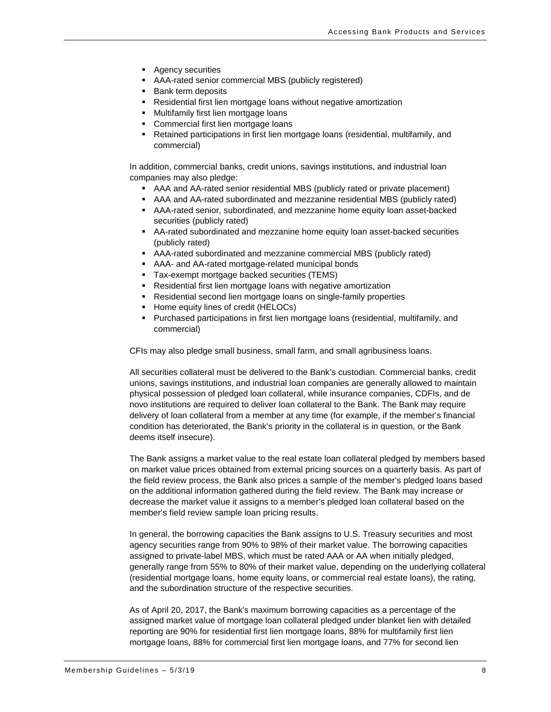- **Agency securities**
- AAA-rated senior commercial MBS (publicly registered)
- Bank term deposits
- Residential first lien mortgage loans without negative amortization
- **•** Multifamily first lien mortgage loans
- Commercial first lien mortgage loans
- Retained participations in first lien mortgage loans (residential, multifamily, and commercial)

In addition, commercial banks, credit unions, savings institutions, and industrial loan companies may also pledge:

- AAA and AA-rated senior residential MBS (publicly rated or private placement)
- AAA and AA-rated subordinated and mezzanine residential MBS (publicly rated)
- AAA-rated senior, subordinated, and mezzanine home equity loan asset-backed securities (publicly rated)
- AA-rated subordinated and mezzanine home equity loan asset-backed securities (publicly rated)
- AAA-rated subordinated and mezzanine commercial MBS (publicly rated)
- AAA- and AA-rated mortgage-related municipal bonds
- Tax-exempt mortgage backed securities (TEMS)
- Residential first lien mortgage loans with negative amortization
- Residential second lien mortgage loans on single-family properties
- **Home equity lines of credit (HELOCs)**
- Purchased participations in first lien mortgage loans (residential, multifamily, and commercial)

CFIs may also pledge small business, small farm, and small agribusiness loans.

All securities collateral must be delivered to the Bank's custodian. Commercial banks, credit unions, savings institutions, and industrial loan companies are generally allowed to maintain physical possession of pledged loan collateral, while insurance companies, CDFIs, and de novo institutions are required to deliver loan collateral to the Bank. The Bank may require delivery of loan collateral from a member at any time (for example, if the member's financial condition has deteriorated, the Bank's priority in the collateral is in question, or the Bank deems itself insecure).

The Bank assigns a market value to the real estate loan collateral pledged by members based on market value prices obtained from external pricing sources on a quarterly basis. As part of the field review process, the Bank also prices a sample of the member's pledged loans based on the additional information gathered during the field review. The Bank may increase or decrease the market value it assigns to a member's pledged loan collateral based on the member's field review sample loan pricing results.

In general, the borrowing capacities the Bank assigns to U.S. Treasury securities and most agency securities range from 90% to 98% of their market value. The borrowing capacities assigned to private-label MBS, which must be rated AAA or AA when initially pledged, generally range from 55% to 80% of their market value, depending on the underlying collateral (residential mortgage loans, home equity loans, or commercial real estate loans), the rating, and the subordination structure of the respective securities.

As of April 20, 2017, the Bank's maximum borrowing capacities as a percentage of the assigned market value of mortgage loan collateral pledged under blanket lien with detailed reporting are 90% for residential first lien mortgage loans, 88% for multifamily first lien mortgage loans, 88% for commercial first lien mortgage loans, and 77% for second lien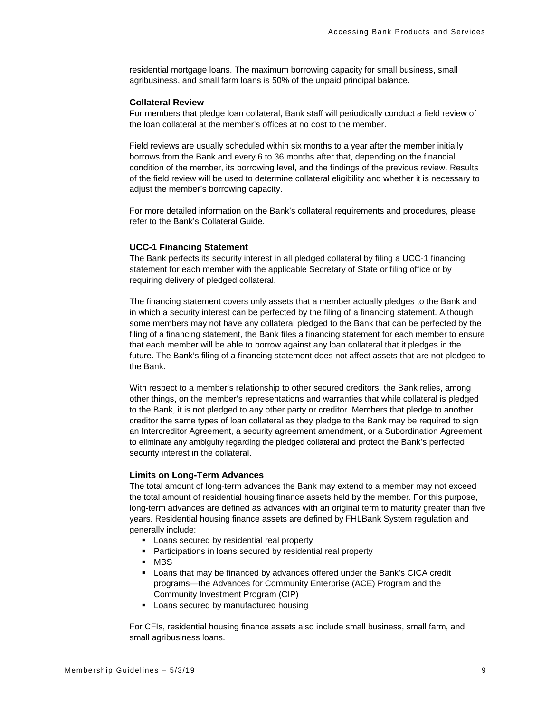residential mortgage loans. The maximum borrowing capacity for small business, small agribusiness, and small farm loans is 50% of the unpaid principal balance.

#### <span id="page-10-0"></span>**Collateral Review**

For members that pledge loan collateral, Bank staff will periodically conduct a field review of the loan collateral at the member's offices at no cost to the member.

Field reviews are usually scheduled within six months to a year after the member initially borrows from the Bank and every 6 to 36 months after that, depending on the financial condition of the member, its borrowing level, and the findings of the previous review. Results of the field review will be used to determine collateral eligibility and whether it is necessary to adjust the member's borrowing capacity.

For more detailed information on the Bank's collateral requirements and procedures, please refer to the Bank's Collateral Guide.

# <span id="page-10-1"></span>**UCC-1 Financing Statement**

The Bank perfects its security interest in all pledged collateral by filing a UCC-1 financing statement for each member with the applicable Secretary of State or filing office or by requiring delivery of pledged collateral.

The financing statement covers only assets that a member actually pledges to the Bank and in which a security interest can be perfected by the filing of a financing statement. Although some members may not have any collateral pledged to the Bank that can be perfected by the filing of a financing statement, the Bank files a financing statement for each member to ensure that each member will be able to borrow against any loan collateral that it pledges in the future. The Bank's filing of a financing statement does not affect assets that are not pledged to the Bank.

With respect to a member's relationship to other secured creditors, the Bank relies, among other things, on the member's representations and warranties that while collateral is pledged to the Bank, it is not pledged to any other party or creditor. Members that pledge to another creditor the same types of loan collateral as they pledge to the Bank may be required to sign an Intercreditor Agreement, a security agreement amendment, or a Subordination Agreement to eliminate any ambiguity regarding the pledged collateral and protect the Bank's perfected security interest in the collateral.

#### <span id="page-10-2"></span>**Limits on Long-Term Advances**

The total amount of long-term advances the Bank may extend to a member may not exceed the total amount of residential housing finance assets held by the member. For this purpose, long-term advances are defined as advances with an original term to maturity greater than five years. Residential housing finance assets are defined by FHLBank System regulation and generally include:

- **Loans secured by residential real property**
- **Participations in loans secured by residential real property**
- MBS
- **EXEDER 1** Loans that may be financed by advances offered under the Bank's CICA credit programs—the Advances for Community Enterprise (ACE) Program and the Community Investment Program (CIP)
- **Loans secured by manufactured housing**

For CFIs, residential housing finance assets also include small business, small farm, and small agribusiness loans.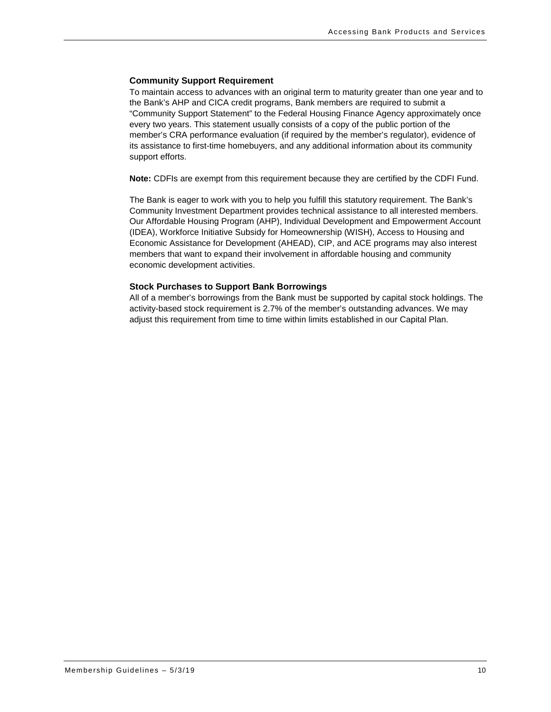# <span id="page-11-0"></span>**Community Support Requirement**

To maintain access to advances with an original term to maturity greater than one year and to the Bank's AHP and CICA credit programs, Bank members are required to submit a "Community Support Statement" to the Federal Housing Finance Agency approximately once every two years. This statement usually consists of a copy of the public portion of the member's CRA performance evaluation (if required by the member's regulator), evidence of its assistance to first-time homebuyers, and any additional information about its community support efforts.

**Note:** CDFIs are exempt from this requirement because they are certified by the CDFI Fund.

The Bank is eager to work with you to help you fulfill this statutory requirement. The Bank's Community Investment Department provides technical assistance to all interested members. Our Affordable Housing Program (AHP), Individual Development and Empowerment Account (IDEA), Workforce Initiative Subsidy for Homeownership (WISH), Access to Housing and Economic Assistance for Development (AHEAD), CIP, and ACE programs may also interest members that want to expand their involvement in affordable housing and community economic development activities.

# **Stock Purchases to Support Bank Borrowings**

<span id="page-11-1"></span>All of a member's borrowings from the Bank must be supported by capital stock holdings. The activity-based stock requirement is 2.7% of the member's outstanding advances. We may adjust this requirement from time to time within limits established in our Capital Plan.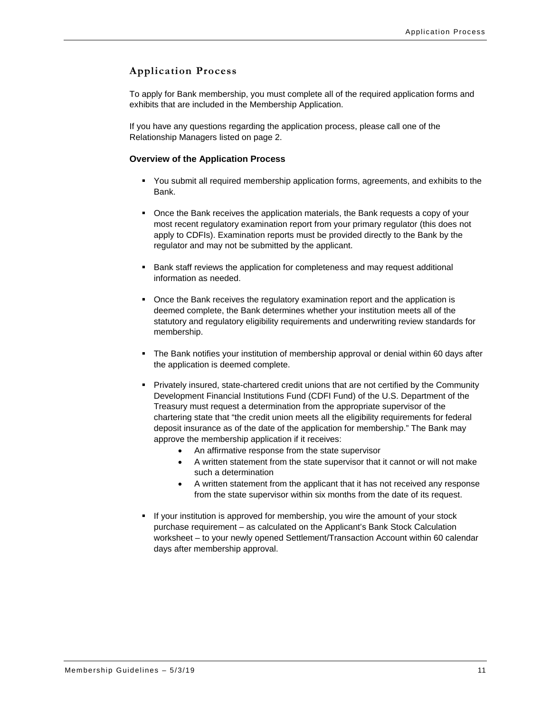# <span id="page-12-0"></span>**Application Process**

To apply for Bank membership, you must complete all of the required application forms and exhibits that are included in the Membership Application.

If you have any questions regarding the application process, please call one of the Relationship Managers listed on page 2.

# <span id="page-12-1"></span>**Overview of the Application Process**

- You submit all required membership application forms, agreements, and exhibits to the Bank.
- Once the Bank receives the application materials, the Bank requests a copy of your most recent regulatory examination report from your primary regulator (this does not apply to CDFIs). Examination reports must be provided directly to the Bank by the regulator and may not be submitted by the applicant.
- **Bank staff reviews the application for completeness and may request additional** information as needed.
- Once the Bank receives the regulatory examination report and the application is deemed complete, the Bank determines whether your institution meets all of the statutory and regulatory eligibility requirements and underwriting review standards for membership.
- The Bank notifies your institution of membership approval or denial within 60 days after the application is deemed complete.
- **Privately insured, state-chartered credit unions that are not certified by the Community** Development Financial Institutions Fund (CDFI Fund) of the U.S. Department of the Treasury must request a determination from the appropriate supervisor of the chartering state that "the credit union meets all the eligibility requirements for federal deposit insurance as of the date of the application for membership." The Bank may approve the membership application if it receives:
	- An affirmative response from the state supervisor
	- A written statement from the state supervisor that it cannot or will not make such a determination
	- A written statement from the applicant that it has not received any response from the state supervisor within six months from the date of its request.
- If your institution is approved for membership, you wire the amount of your stock purchase requirement – as calculated on the Applicant's Bank Stock Calculation worksheet – to your newly opened Settlement/Transaction Account within 60 calendar days after membership approval.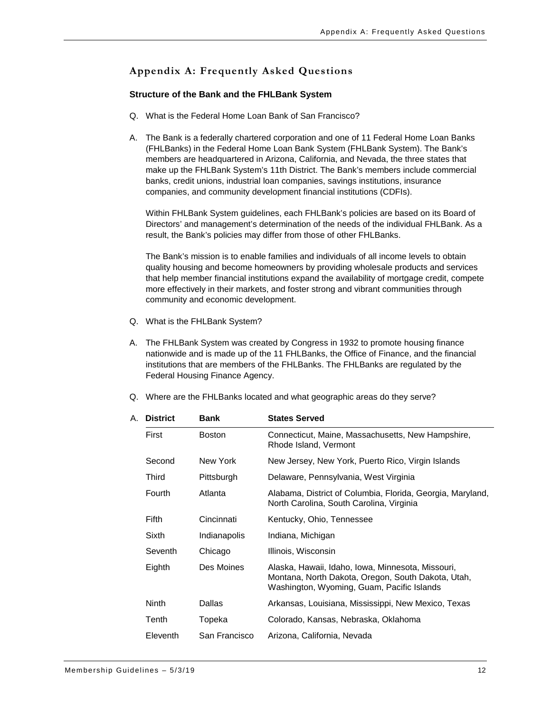# <span id="page-13-0"></span>**Appendix A: Frequently Asked Questions**

# <span id="page-13-1"></span>**Structure of the Bank and the FHLBank System**

- Q. What is the Federal Home Loan Bank of San Francisco?
- A. The Bank is a federally chartered corporation and one of 11 Federal Home Loan Banks (FHLBanks) in the Federal Home Loan Bank System (FHLBank System). The Bank's members are headquartered in Arizona, California, and Nevada, the three states that make up the FHLBank System's 11th District. The Bank's members include commercial banks, credit unions, industrial loan companies, savings institutions, insurance companies, and community development financial institutions (CDFIs).

Within FHLBank System guidelines, each FHLBank's policies are based on its Board of Directors' and management's determination of the needs of the individual FHLBank. As a result, the Bank's policies may differ from those of other FHLBanks.

The Bank's mission is to enable families and individuals of all income levels to obtain quality housing and become homeowners by providing wholesale products and services that help member financial institutions expand the availability of mortgage credit, compete more effectively in their markets, and foster strong and vibrant communities through community and economic development.

- Q. What is the FHLBank System?
- A. The FHLBank System was created by Congress in 1932 to promote housing finance nationwide and is made up of the 11 FHLBanks, the Office of Finance, and the financial institutions that are members of the FHLBanks. The FHLBanks are regulated by the Federal Housing Finance Agency.
- Q. Where are the FHLBanks located and what geographic areas do they serve?

| Α. | <b>District</b> | Bank          | <b>States Served</b>                                                                                                                                  |
|----|-----------------|---------------|-------------------------------------------------------------------------------------------------------------------------------------------------------|
|    | First           | <b>Boston</b> | Connecticut, Maine, Massachusetts, New Hampshire,<br>Rhode Island, Vermont                                                                            |
|    | Second          | New York      | New Jersey, New York, Puerto Rico, Virgin Islands                                                                                                     |
|    | <b>Third</b>    | Pittsburgh    | Delaware, Pennsylvania, West Virginia                                                                                                                 |
|    | Fourth          | Atlanta       | Alabama, District of Columbia, Florida, Georgia, Maryland,<br>North Carolina, South Carolina, Virginia                                                |
|    | Fifth           | Cincinnati    | Kentucky, Ohio, Tennessee                                                                                                                             |
|    | Sixth           | Indianapolis  | Indiana, Michigan                                                                                                                                     |
|    | Seventh         | Chicago       | Illinois, Wisconsin                                                                                                                                   |
|    | Eighth          | Des Moines    | Alaska, Hawaii, Idaho, Iowa, Minnesota, Missouri,<br>Montana, North Dakota, Oregon, South Dakota, Utah,<br>Washington, Wyoming, Guam, Pacific Islands |
|    | Ninth           | Dallas        | Arkansas, Louisiana, Mississippi, New Mexico, Texas                                                                                                   |
|    | Tenth           | Topeka        | Colorado, Kansas, Nebraska, Oklahoma                                                                                                                  |
|    | Eleventh        | San Francisco | Arizona, California, Nevada                                                                                                                           |
|    |                 |               |                                                                                                                                                       |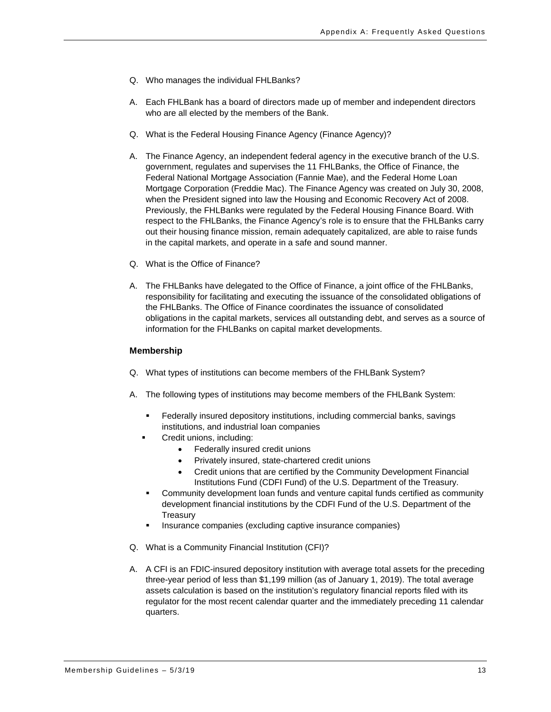- Q. Who manages the individual FHLBanks?
- A. Each FHLBank has a board of directors made up of member and independent directors who are all elected by the members of the Bank.
- Q. What is the Federal Housing Finance Agency (Finance Agency)?
- A. The Finance Agency, an independent federal agency in the executive branch of the U.S. government, regulates and supervises the 11 FHLBanks, the Office of Finance, the Federal National Mortgage Association (Fannie Mae), and the Federal Home Loan Mortgage Corporation (Freddie Mac). The Finance Agency was created on July 30, 2008, when the President signed into law the Housing and Economic Recovery Act of 2008. Previously, the FHLBanks were regulated by the Federal Housing Finance Board. With respect to the FHLBanks, the Finance Agency's role is to ensure that the FHLBanks carry out their housing finance mission, remain adequately capitalized, are able to raise funds in the capital markets, and operate in a safe and sound manner.
- Q. What is the Office of Finance?
- A. The FHLBanks have delegated to the Office of Finance, a joint office of the FHLBanks, responsibility for facilitating and executing the issuance of the consolidated obligations of the FHLBanks. The Office of Finance coordinates the issuance of consolidated obligations in the capital markets, services all outstanding debt, and serves as a source of information for the FHLBanks on capital market developments.

# <span id="page-14-0"></span>**Membership**

- Q. What types of institutions can become members of the FHLBank System?
- A. The following types of institutions may become members of the FHLBank System:
	- Federally insured depository institutions, including commercial banks, savings institutions, and industrial loan companies
	- Credit unions, including:
		- Federally insured credit unions
		- Privately insured, state-chartered credit unions
		- Credit unions that are certified by the Community Development Financial Institutions Fund (CDFI Fund) of the U.S. Department of the Treasury.
	- Community development loan funds and venture capital funds certified as community development financial institutions by the CDFI Fund of the U.S. Department of the **Treasury**
	- Insurance companies (excluding captive insurance companies)
- Q. What is a Community Financial Institution (CFI)?
- A. A CFI is an FDIC-insured depository institution with average total assets for the preceding three-year period of less than \$1,199 million (as of January 1, 2019). The total average assets calculation is based on the institution's regulatory financial reports filed with its regulator for the most recent calendar quarter and the immediately preceding 11 calendar quarters.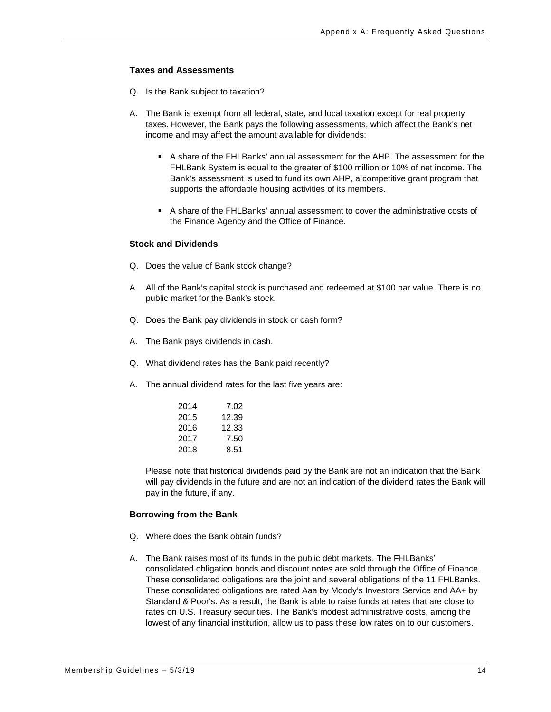# <span id="page-15-0"></span>**Taxes and Assessments**

- Q. Is the Bank subject to taxation?
- A. The Bank is exempt from all federal, state, and local taxation except for real property taxes. However, the Bank pays the following assessments, which affect the Bank's net income and may affect the amount available for dividends:
	- A share of the FHLBanks' annual assessment for the AHP. The assessment for the FHLBank System is equal to the greater of \$100 million or 10% of net income. The Bank's assessment is used to fund its own AHP, a competitive grant program that supports the affordable housing activities of its members.
	- A share of the FHLBanks' annual assessment to cover the administrative costs of the Finance Agency and the Office of Finance.

#### <span id="page-15-1"></span>**Stock and Dividends**

- Q. Does the value of Bank stock change?
- A. All of the Bank's capital stock is purchased and redeemed at \$100 par value. There is no public market for the Bank's stock.
- Q. Does the Bank pay dividends in stock or cash form?
- A. The Bank pays dividends in cash.
- Q. What dividend rates has the Bank paid recently?
- A. The annual dividend rates for the last five years are:

| 2014 | 7.02  |
|------|-------|
| 2015 | 12.39 |
| 2016 | 12.33 |
| 2017 | 7.50  |
| 2018 | 8.51  |

Please note that historical dividends paid by the Bank are not an indication that the Bank will pay dividends in the future and are not an indication of the dividend rates the Bank will pay in the future, if any.

### <span id="page-15-2"></span>**Borrowing from the Bank**

- Q. Where does the Bank obtain funds?
- A. The Bank raises most of its funds in the public debt markets. The FHLBanks' consolidated obligation bonds and discount notes are sold through the Office of Finance. These consolidated obligations are the joint and several obligations of the 11 FHLBanks. These consolidated obligations are rated Aaa by Moody's Investors Service and AA+ by Standard & Poor's. As a result, the Bank is able to raise funds at rates that are close to rates on U.S. Treasury securities. The Bank's modest administrative costs, among the lowest of any financial institution, allow us to pass these low rates on to our customers.